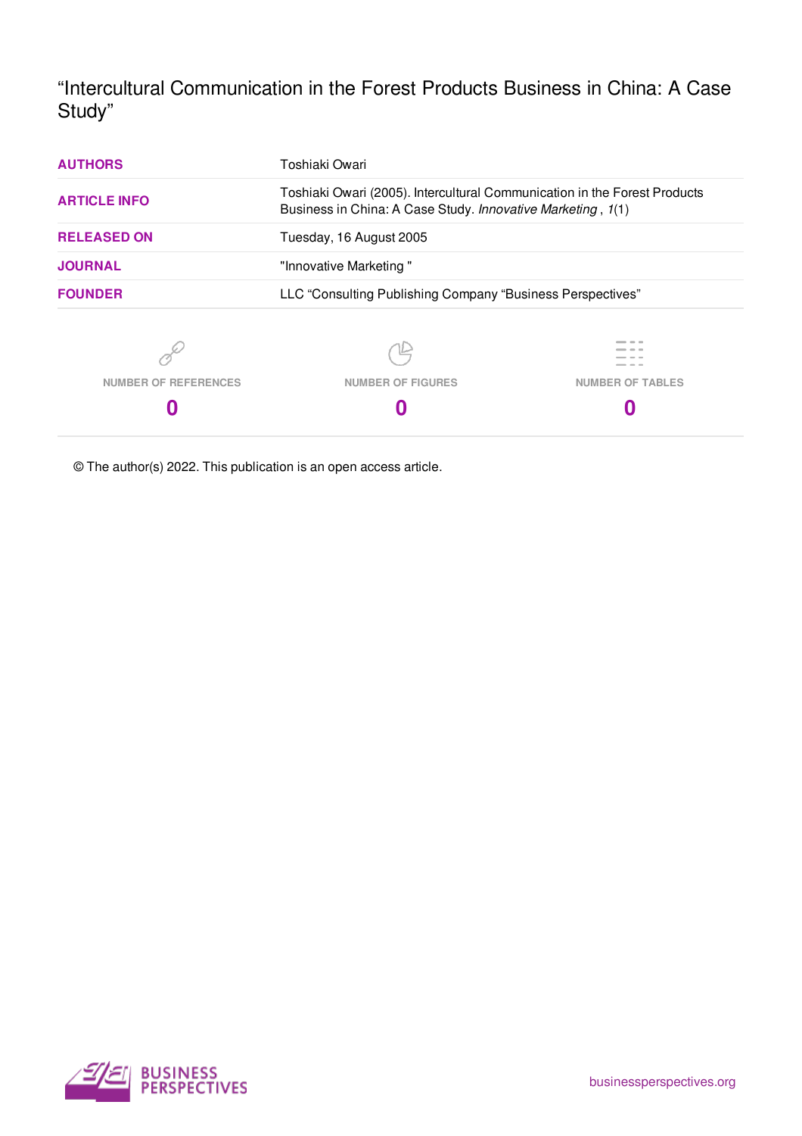"Intercultural Communication in the Forest Products Business in China: A Case Study"

| <b>AUTHORS</b>              | Toshiaki Owari                                                                                                                           |                         |
|-----------------------------|------------------------------------------------------------------------------------------------------------------------------------------|-------------------------|
| <b>ARTICLE INFO</b>         | Toshiaki Owari (2005). Intercultural Communication in the Forest Products<br>Business in China: A Case Study. Innovative Marketing, 1(1) |                         |
| <b>RELEASED ON</b>          | Tuesday, 16 August 2005                                                                                                                  |                         |
| <b>JOURNAL</b>              | "Innovative Marketing"                                                                                                                   |                         |
| <b>FOUNDER</b>              | LLC "Consulting Publishing Company "Business Perspectives"                                                                               |                         |
|                             |                                                                                                                                          |                         |
| <b>NUMBER OF REFERENCES</b> | <b>NUMBER OF FIGURES</b>                                                                                                                 | <b>NUMBER OF TABLES</b> |
| O                           |                                                                                                                                          |                         |

© The author(s) 2022. This publication is an open access article.

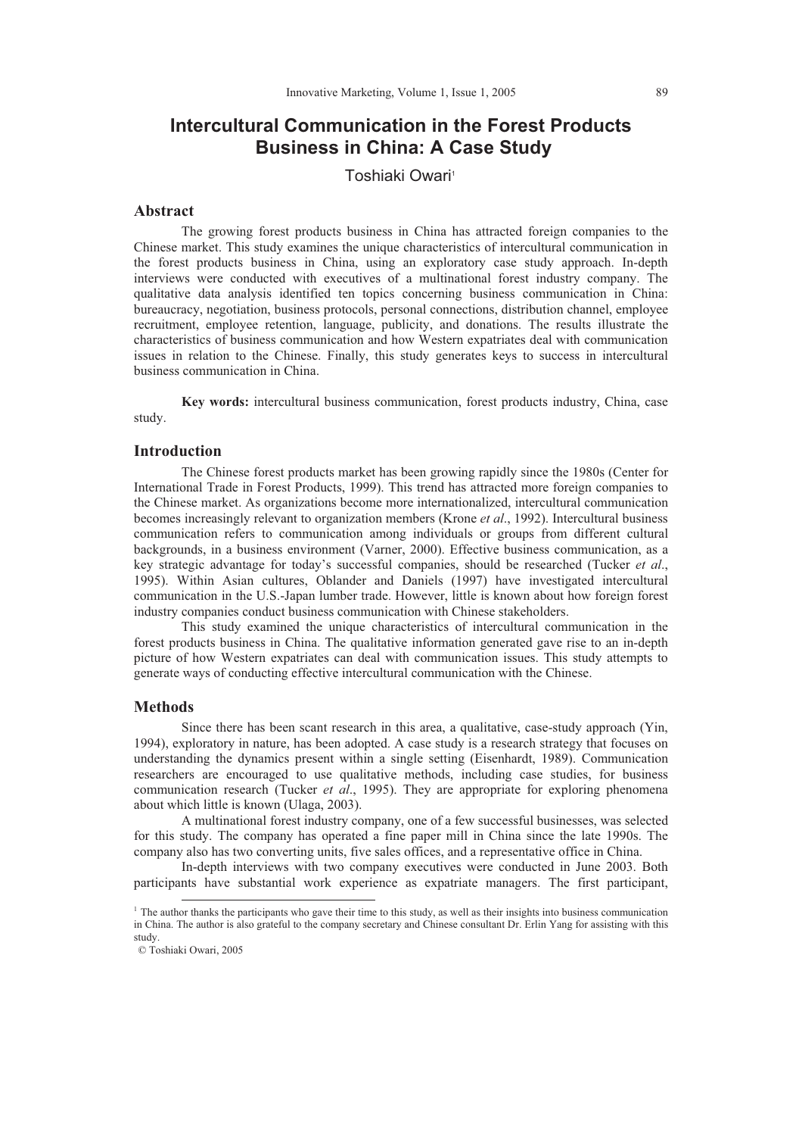# **Intercultural Communication in the Forest Products Business in China: A Case Study**

Toshiaki Owari<sup>1</sup>

#### **Abstract**

The growing forest products business in China has attracted foreign companies to the Chinese market. This study examines the unique characteristics of intercultural communication in the forest products business in China, using an exploratory case study approach. In-depth interviews were conducted with executives of a multinational forest industry company. The qualitative data analysis identified ten topics concerning business communication in China: bureaucracy, negotiation, business protocols, personal connections, distribution channel, employee recruitment, employee retention, language, publicity, and donations. The results illustrate the characteristics of business communication and how Western expatriates deal with communication issues in relation to the Chinese. Finally, this study generates keys to success in intercultural business communication in China.

**Key words:** intercultural business communication, forest products industry, China, case study.

## **Introduction**

The Chinese forest products market has been growing rapidly since the 1980s (Center for International Trade in Forest Products, 1999). This trend has attracted more foreign companies to the Chinese market. As organizations become more internationalized, intercultural communication becomes increasingly relevant to organization members (Krone *et al*., 1992). Intercultural business communication refers to communication among individuals or groups from different cultural backgrounds, in a business environment (Varner, 2000). Effective business communication, as a key strategic advantage for today's successful companies, should be researched (Tucker *et al*., 1995). Within Asian cultures, Oblander and Daniels (1997) have investigated intercultural communication in the U.S.-Japan lumber trade. However, little is known about how foreign forest industry companies conduct business communication with Chinese stakeholders.

This study examined the unique characteristics of intercultural communication in the forest products business in China. The qualitative information generated gave rise to an in-depth picture of how Western expatriates can deal with communication issues. This study attempts to generate ways of conducting effective intercultural communication with the Chinese.

### **Methods**

Since there has been scant research in this area, a qualitative, case-study approach (Yin, 1994), exploratory in nature, has been adopted. A case study is a research strategy that focuses on understanding the dynamics present within a single setting (Eisenhardt, 1989). Communication researchers are encouraged to use qualitative methods, including case studies, for business communication research (Tucker *et al*., 1995). They are appropriate for exploring phenomena about which little is known (Ulaga, 2003).

A multinational forest industry company, one of a few successful businesses, was selected for this study. The company has operated a fine paper mill in China since the late 1990s. The company also has two converting units, five sales offices, and a representative office in China.

In-depth interviews with two company executives were conducted in June 2003. Both participants have substantial work experience as expatriate managers. The first participant,

 $\overline{a}$ 

 $<sup>1</sup>$  The author thanks the participants who gave their time to this study, as well as their insights into business communication</sup> in China. The author is also grateful to the company secretary and Chinese consultant Dr. Erlin Yang for assisting with this study.

 <sup>©</sup> Toshiaki Owari, 2005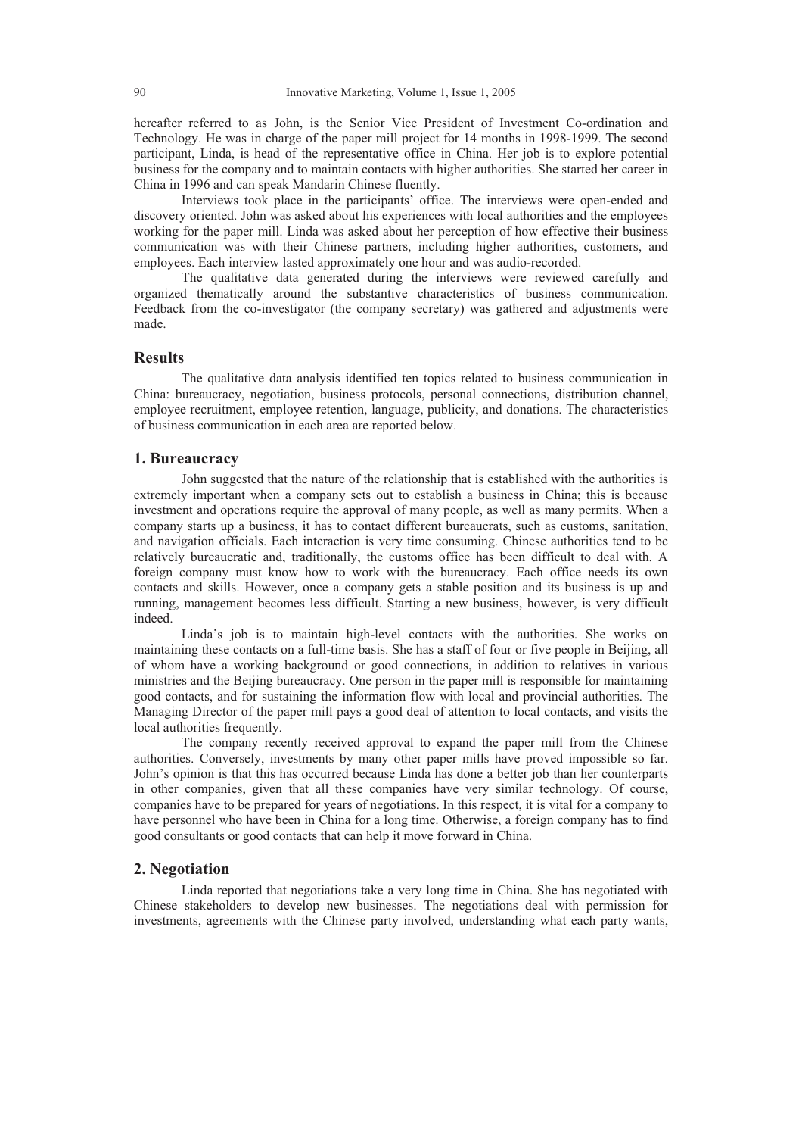hereafter referred to as John, is the Senior Vice President of Investment Co-ordination and Technology. He was in charge of the paper mill project for 14 months in 1998-1999. The second participant, Linda, is head of the representative office in China. Her job is to explore potential business for the company and to maintain contacts with higher authorities. She started her career in China in 1996 and can speak Mandarin Chinese fluently.

Interviews took place in the participants' office. The interviews were open-ended and discovery oriented. John was asked about his experiences with local authorities and the employees working for the paper mill. Linda was asked about her perception of how effective their business communication was with their Chinese partners, including higher authorities, customers, and employees. Each interview lasted approximately one hour and was audio-recorded.

The qualitative data generated during the interviews were reviewed carefully and organized thematically around the substantive characteristics of business communication. Feedback from the co-investigator (the company secretary) was gathered and adjustments were made.

# **Results**

The qualitative data analysis identified ten topics related to business communication in China: bureaucracy, negotiation, business protocols, personal connections, distribution channel, employee recruitment, employee retention, language, publicity, and donations. The characteristics of business communication in each area are reported below.

#### **1. Bureaucracy**

John suggested that the nature of the relationship that is established with the authorities is extremely important when a company sets out to establish a business in China; this is because investment and operations require the approval of many people, as well as many permits. When a company starts up a business, it has to contact different bureaucrats, such as customs, sanitation, and navigation officials. Each interaction is very time consuming. Chinese authorities tend to be relatively bureaucratic and, traditionally, the customs office has been difficult to deal with. A foreign company must know how to work with the bureaucracy. Each office needs its own contacts and skills. However, once a company gets a stable position and its business is up and running, management becomes less difficult. Starting a new business, however, is very difficult indeed.

Linda's job is to maintain high-level contacts with the authorities. She works on maintaining these contacts on a full-time basis. She has a staff of four or five people in Beijing, all of whom have a working background or good connections, in addition to relatives in various ministries and the Beijing bureaucracy. One person in the paper mill is responsible for maintaining good contacts, and for sustaining the information flow with local and provincial authorities. The Managing Director of the paper mill pays a good deal of attention to local contacts, and visits the local authorities frequently.

The company recently received approval to expand the paper mill from the Chinese authorities. Conversely, investments by many other paper mills have proved impossible so far. John's opinion is that this has occurred because Linda has done a better job than her counterparts in other companies, given that all these companies have very similar technology. Of course, companies have to be prepared for years of negotiations. In this respect, it is vital for a company to have personnel who have been in China for a long time. Otherwise, a foreign company has to find good consultants or good contacts that can help it move forward in China.

#### **2. Negotiation**

Linda reported that negotiations take a very long time in China. She has negotiated with Chinese stakeholders to develop new businesses. The negotiations deal with permission for investments, agreements with the Chinese party involved, understanding what each party wants,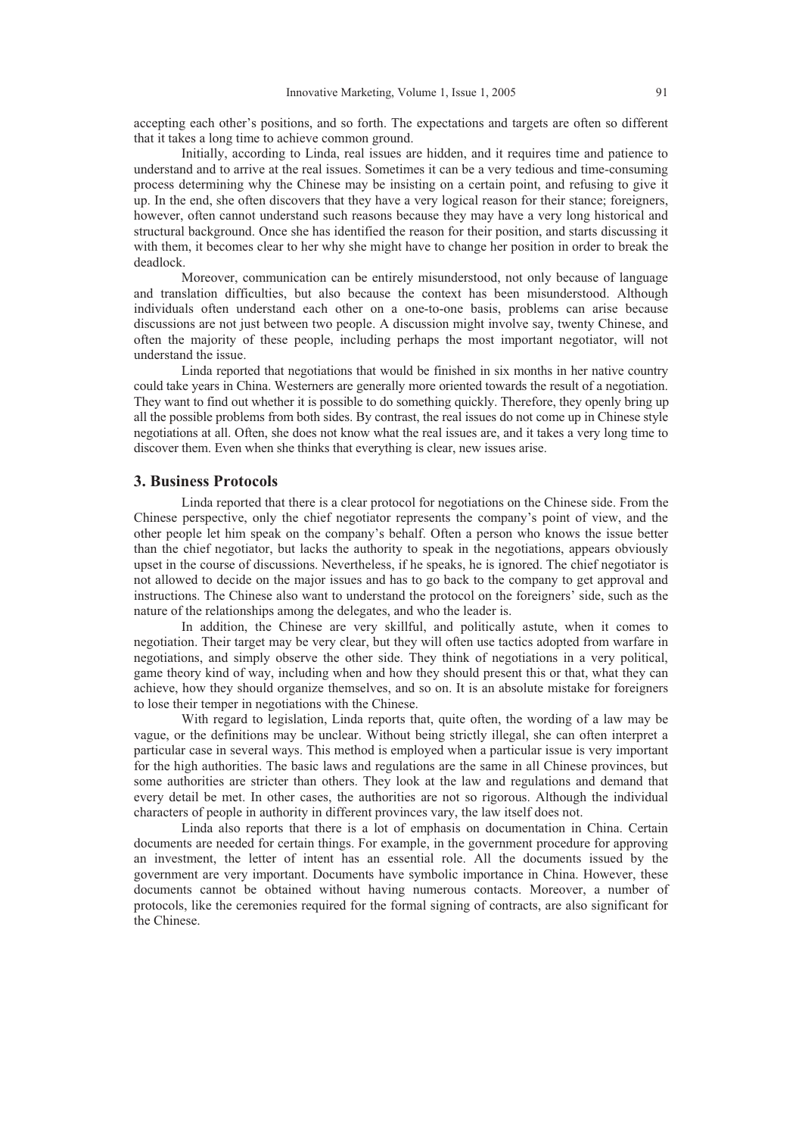accepting each other's positions, and so forth. The expectations and targets are often so different that it takes a long time to achieve common ground.

Initially, according to Linda, real issues are hidden, and it requires time and patience to understand and to arrive at the real issues. Sometimes it can be a very tedious and time-consuming process determining why the Chinese may be insisting on a certain point, and refusing to give it up. In the end, she often discovers that they have a very logical reason for their stance; foreigners, however, often cannot understand such reasons because they may have a very long historical and structural background. Once she has identified the reason for their position, and starts discussing it with them, it becomes clear to her why she might have to change her position in order to break the deadlock.

Moreover, communication can be entirely misunderstood, not only because of language and translation difficulties, but also because the context has been misunderstood. Although individuals often understand each other on a one-to-one basis, problems can arise because discussions are not just between two people. A discussion might involve say, twenty Chinese, and often the majority of these people, including perhaps the most important negotiator, will not understand the issue.

Linda reported that negotiations that would be finished in six months in her native country could take years in China. Westerners are generally more oriented towards the result of a negotiation. They want to find out whether it is possible to do something quickly. Therefore, they openly bring up all the possible problems from both sides. By contrast, the real issues do not come up in Chinese style negotiations at all. Often, she does not know what the real issues are, and it takes a very long time to discover them. Even when she thinks that everything is clear, new issues arise.

# **3. Business Protocols**

Linda reported that there is a clear protocol for negotiations on the Chinese side. From the Chinese perspective, only the chief negotiator represents the company's point of view, and the other people let him speak on the company's behalf. Often a person who knows the issue better than the chief negotiator, but lacks the authority to speak in the negotiations, appears obviously upset in the course of discussions. Nevertheless, if he speaks, he is ignored. The chief negotiator is not allowed to decide on the major issues and has to go back to the company to get approval and instructions. The Chinese also want to understand the protocol on the foreigners' side, such as the nature of the relationships among the delegates, and who the leader is.

In addition, the Chinese are very skillful, and politically astute, when it comes to negotiation. Their target may be very clear, but they will often use tactics adopted from warfare in negotiations, and simply observe the other side. They think of negotiations in a very political, game theory kind of way, including when and how they should present this or that, what they can achieve, how they should organize themselves, and so on. It is an absolute mistake for foreigners to lose their temper in negotiations with the Chinese.

With regard to legislation, Linda reports that, quite often, the wording of a law may be vague, or the definitions may be unclear. Without being strictly illegal, she can often interpret a particular case in several ways. This method is employed when a particular issue is very important for the high authorities. The basic laws and regulations are the same in all Chinese provinces, but some authorities are stricter than others. They look at the law and regulations and demand that every detail be met. In other cases, the authorities are not so rigorous. Although the individual characters of people in authority in different provinces vary, the law itself does not.

Linda also reports that there is a lot of emphasis on documentation in China. Certain documents are needed for certain things. For example, in the government procedure for approving an investment, the letter of intent has an essential role. All the documents issued by the government are very important. Documents have symbolic importance in China. However, these documents cannot be obtained without having numerous contacts. Moreover, a number of protocols, like the ceremonies required for the formal signing of contracts, are also significant for the Chinese.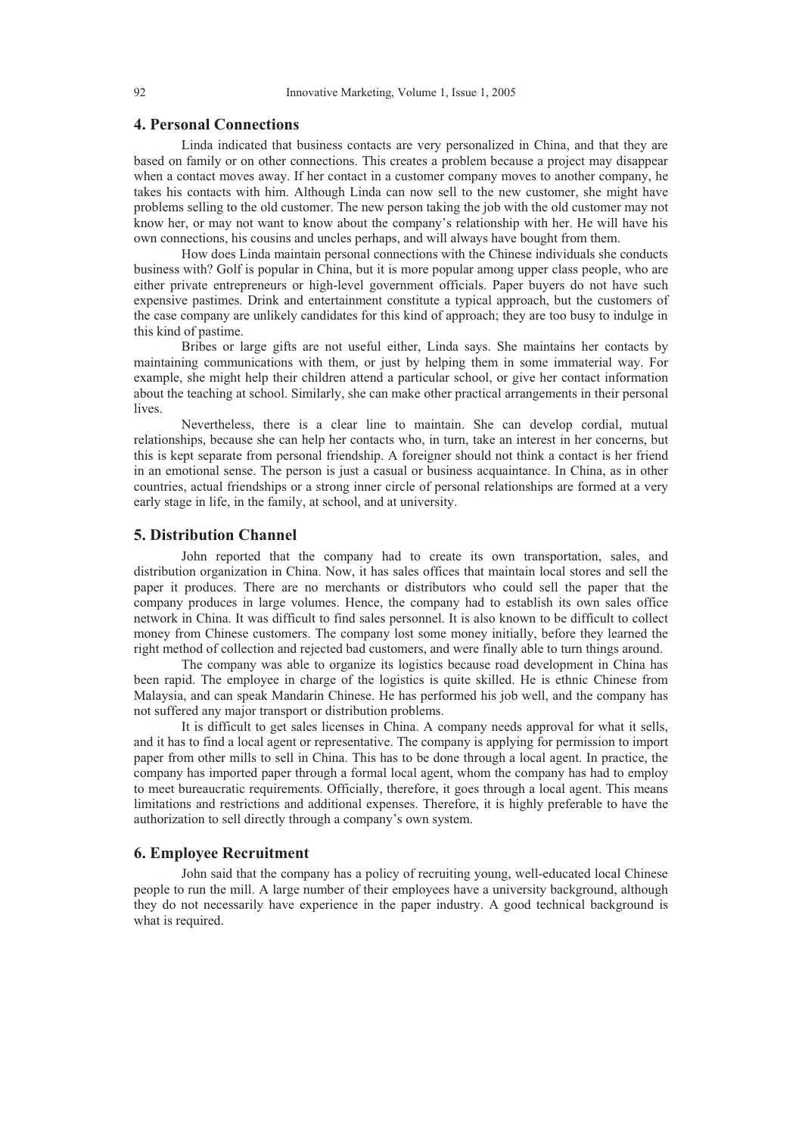# **4. Personal Connections**

Linda indicated that business contacts are very personalized in China, and that they are based on family or on other connections. This creates a problem because a project may disappear when a contact moves away. If her contact in a customer company moves to another company, he takes his contacts with him. Although Linda can now sell to the new customer, she might have problems selling to the old customer. The new person taking the job with the old customer may not know her, or may not want to know about the company's relationship with her. He will have his own connections, his cousins and uncles perhaps, and will always have bought from them.

How does Linda maintain personal connections with the Chinese individuals she conducts business with? Golf is popular in China, but it is more popular among upper class people, who are either private entrepreneurs or high-level government officials. Paper buyers do not have such expensive pastimes. Drink and entertainment constitute a typical approach, but the customers of the case company are unlikely candidates for this kind of approach; they are too busy to indulge in this kind of pastime.

Bribes or large gifts are not useful either, Linda says. She maintains her contacts by maintaining communications with them, or just by helping them in some immaterial way. For example, she might help their children attend a particular school, or give her contact information about the teaching at school. Similarly, she can make other practical arrangements in their personal lives.

Nevertheless, there is a clear line to maintain. She can develop cordial, mutual relationships, because she can help her contacts who, in turn, take an interest in her concerns, but this is kept separate from personal friendship. A foreigner should not think a contact is her friend in an emotional sense. The person is just a casual or business acquaintance. In China, as in other countries, actual friendships or a strong inner circle of personal relationships are formed at a very early stage in life, in the family, at school, and at university.

#### **5. Distribution Channel**

John reported that the company had to create its own transportation, sales, and distribution organization in China. Now, it has sales offices that maintain local stores and sell the paper it produces. There are no merchants or distributors who could sell the paper that the company produces in large volumes. Hence, the company had to establish its own sales office network in China. It was difficult to find sales personnel. It is also known to be difficult to collect money from Chinese customers. The company lost some money initially, before they learned the right method of collection and rejected bad customers, and were finally able to turn things around.

The company was able to organize its logistics because road development in China has been rapid. The employee in charge of the logistics is quite skilled. He is ethnic Chinese from Malaysia, and can speak Mandarin Chinese. He has performed his job well, and the company has not suffered any major transport or distribution problems.

It is difficult to get sales licenses in China. A company needs approval for what it sells, and it has to find a local agent or representative. The company is applying for permission to import paper from other mills to sell in China. This has to be done through a local agent. In practice, the company has imported paper through a formal local agent, whom the company has had to employ to meet bureaucratic requirements. Officially, therefore, it goes through a local agent. This means limitations and restrictions and additional expenses. Therefore, it is highly preferable to have the authorization to sell directly through a company's own system.

### **6. Employee Recruitment**

John said that the company has a policy of recruiting young, well-educated local Chinese people to run the mill. A large number of their employees have a university background, although they do not necessarily have experience in the paper industry. A good technical background is what is required.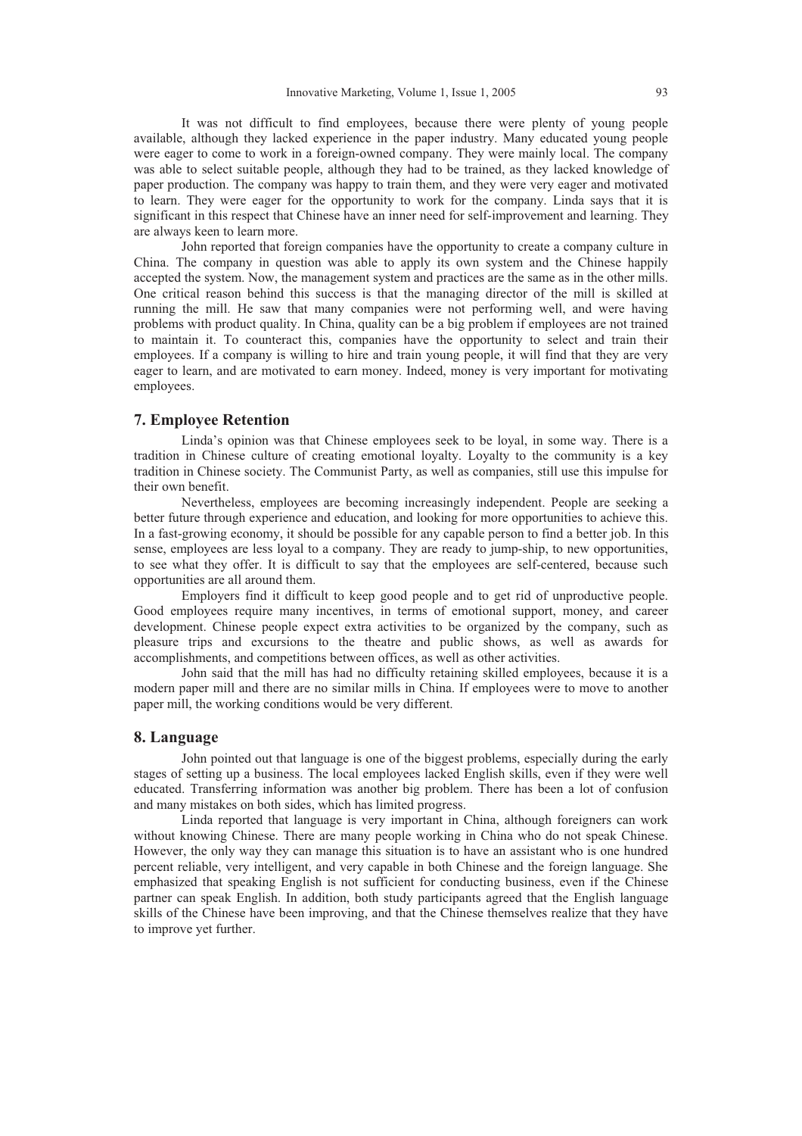It was not difficult to find employees, because there were plenty of young people available, although they lacked experience in the paper industry. Many educated young people were eager to come to work in a foreign-owned company. They were mainly local. The company was able to select suitable people, although they had to be trained, as they lacked knowledge of paper production. The company was happy to train them, and they were very eager and motivated to learn. They were eager for the opportunity to work for the company. Linda says that it is significant in this respect that Chinese have an inner need for self-improvement and learning. They are always keen to learn more.

John reported that foreign companies have the opportunity to create a company culture in China. The company in question was able to apply its own system and the Chinese happily accepted the system. Now, the management system and practices are the same as in the other mills. One critical reason behind this success is that the managing director of the mill is skilled at running the mill. He saw that many companies were not performing well, and were having problems with product quality. In China, quality can be a big problem if employees are not trained to maintain it. To counteract this, companies have the opportunity to select and train their employees. If a company is willing to hire and train young people, it will find that they are very eager to learn, and are motivated to earn money. Indeed, money is very important for motivating employees.

# **7. Employee Retention**

Linda's opinion was that Chinese employees seek to be loyal, in some way. There is a tradition in Chinese culture of creating emotional loyalty. Loyalty to the community is a key tradition in Chinese society. The Communist Party, as well as companies, still use this impulse for their own benefit.

Nevertheless, employees are becoming increasingly independent. People are seeking a better future through experience and education, and looking for more opportunities to achieve this. In a fast-growing economy, it should be possible for any capable person to find a better job. In this sense, employees are less loyal to a company. They are ready to jump-ship, to new opportunities, to see what they offer. It is difficult to say that the employees are self-centered, because such opportunities are all around them.

Employers find it difficult to keep good people and to get rid of unproductive people. Good employees require many incentives, in terms of emotional support, money, and career development. Chinese people expect extra activities to be organized by the company, such as pleasure trips and excursions to the theatre and public shows, as well as awards for accomplishments, and competitions between offices, as well as other activities.

John said that the mill has had no difficulty retaining skilled employees, because it is a modern paper mill and there are no similar mills in China. If employees were to move to another paper mill, the working conditions would be very different.

### **8. Language**

John pointed out that language is one of the biggest problems, especially during the early stages of setting up a business. The local employees lacked English skills, even if they were well educated. Transferring information was another big problem. There has been a lot of confusion and many mistakes on both sides, which has limited progress.

Linda reported that language is very important in China, although foreigners can work without knowing Chinese. There are many people working in China who do not speak Chinese. However, the only way they can manage this situation is to have an assistant who is one hundred percent reliable, very intelligent, and very capable in both Chinese and the foreign language. She emphasized that speaking English is not sufficient for conducting business, even if the Chinese partner can speak English. In addition, both study participants agreed that the English language skills of the Chinese have been improving, and that the Chinese themselves realize that they have to improve yet further.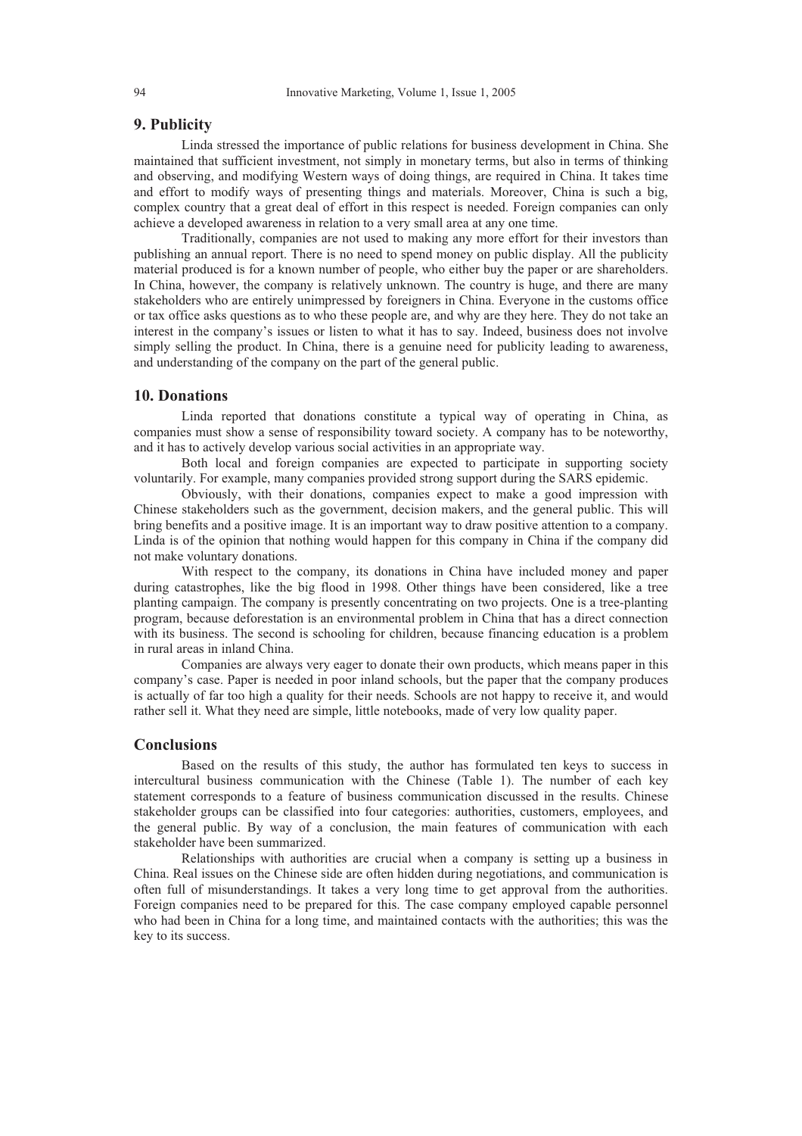# **9. Publicity**

Linda stressed the importance of public relations for business development in China. She maintained that sufficient investment, not simply in monetary terms, but also in terms of thinking and observing, and modifying Western ways of doing things, are required in China. It takes time and effort to modify ways of presenting things and materials. Moreover, China is such a big, complex country that a great deal of effort in this respect is needed. Foreign companies can only achieve a developed awareness in relation to a very small area at any one time.

Traditionally, companies are not used to making any more effort for their investors than publishing an annual report. There is no need to spend money on public display. All the publicity material produced is for a known number of people, who either buy the paper or are shareholders. In China, however, the company is relatively unknown. The country is huge, and there are many stakeholders who are entirely unimpressed by foreigners in China. Everyone in the customs office or tax office asks questions as to who these people are, and why are they here. They do not take an interest in the company's issues or listen to what it has to say. Indeed, business does not involve simply selling the product. In China, there is a genuine need for publicity leading to awareness, and understanding of the company on the part of the general public.

### **10. Donations**

Linda reported that donations constitute a typical way of operating in China, as companies must show a sense of responsibility toward society. A company has to be noteworthy, and it has to actively develop various social activities in an appropriate way.

Both local and foreign companies are expected to participate in supporting society voluntarily. For example, many companies provided strong support during the SARS epidemic.

Obviously, with their donations, companies expect to make a good impression with Chinese stakeholders such as the government, decision makers, and the general public. This will bring benefits and a positive image. It is an important way to draw positive attention to a company. Linda is of the opinion that nothing would happen for this company in China if the company did not make voluntary donations.

With respect to the company, its donations in China have included money and paper during catastrophes, like the big flood in 1998. Other things have been considered, like a tree planting campaign. The company is presently concentrating on two projects. One is a tree-planting program, because deforestation is an environmental problem in China that has a direct connection with its business. The second is schooling for children, because financing education is a problem in rural areas in inland China.

Companies are always very eager to donate their own products, which means paper in this company's case. Paper is needed in poor inland schools, but the paper that the company produces is actually of far too high a quality for their needs. Schools are not happy to receive it, and would rather sell it. What they need are simple, little notebooks, made of very low quality paper.

### **Conclusions**

Based on the results of this study, the author has formulated ten keys to success in intercultural business communication with the Chinese (Table 1). The number of each key statement corresponds to a feature of business communication discussed in the results. Chinese stakeholder groups can be classified into four categories: authorities, customers, employees, and the general public. By way of a conclusion, the main features of communication with each stakeholder have been summarized.

Relationships with authorities are crucial when a company is setting up a business in China. Real issues on the Chinese side are often hidden during negotiations, and communication is often full of misunderstandings. It takes a very long time to get approval from the authorities. Foreign companies need to be prepared for this. The case company employed capable personnel who had been in China for a long time, and maintained contacts with the authorities; this was the key to its success.